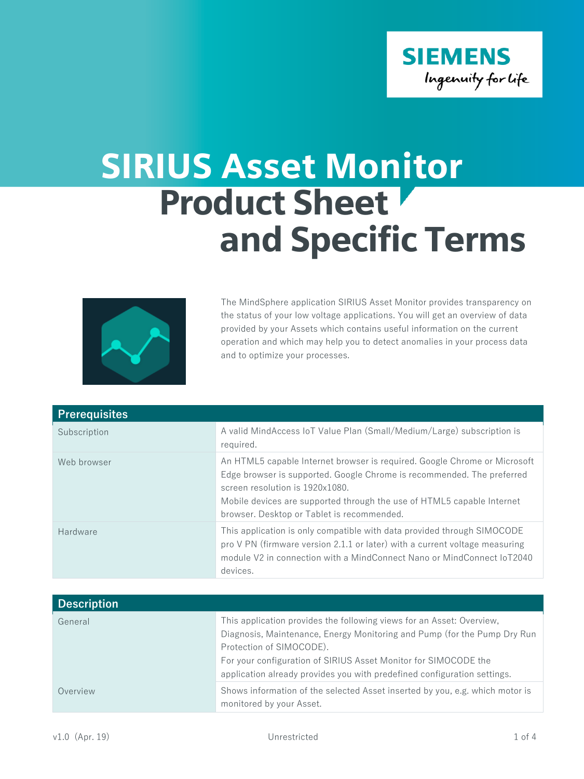

## SIRIUS Asset Monitor Product Sheet and Specific Terms



The MindSphere application SIRIUS Asset Monitor provides transparency on the status of your low voltage applications. You will get an overview of data provided by your Assets which contains useful information on the current operation and which may help you to detect anomalies in your process data and to optimize your processes.

| <b>Prerequisites</b> |                                                                                                                                                                                                                                                                                                                |
|----------------------|----------------------------------------------------------------------------------------------------------------------------------------------------------------------------------------------------------------------------------------------------------------------------------------------------------------|
| Subscription         | A valid MindAccess IoT Value Plan (Small/Medium/Large) subscription is<br>required.                                                                                                                                                                                                                            |
| Web browser          | An HTML5 capable Internet browser is required. Google Chrome or Microsoft<br>Edge browser is supported. Google Chrome is recommended. The preferred<br>screen resolution is 1920x1080.<br>Mobile devices are supported through the use of HTML5 capable Internet<br>browser. Desktop or Tablet is recommended. |
| Hardware             | This application is only compatible with data provided through SIMOCODE<br>pro V PN (firmware version 2.1.1 or later) with a current voltage measuring<br>module V2 in connection with a MindConnect Nano or MindConnect IoT2040<br>devices.                                                                   |

| <b>Description</b> |                                                                                                                                                                                                                                                                                                                              |
|--------------------|------------------------------------------------------------------------------------------------------------------------------------------------------------------------------------------------------------------------------------------------------------------------------------------------------------------------------|
| General            | This application provides the following views for an Asset: Overview,<br>Diagnosis, Maintenance, Energy Monitoring and Pump (for the Pump Dry Run<br>Protection of SIMOCODE).<br>For your configuration of SIRIUS Asset Monitor for SIMOCODE the<br>application already provides you with predefined configuration settings. |
| Overview           | Shows information of the selected Asset inserted by you, e.g. which motor is<br>monitored by your Asset.                                                                                                                                                                                                                     |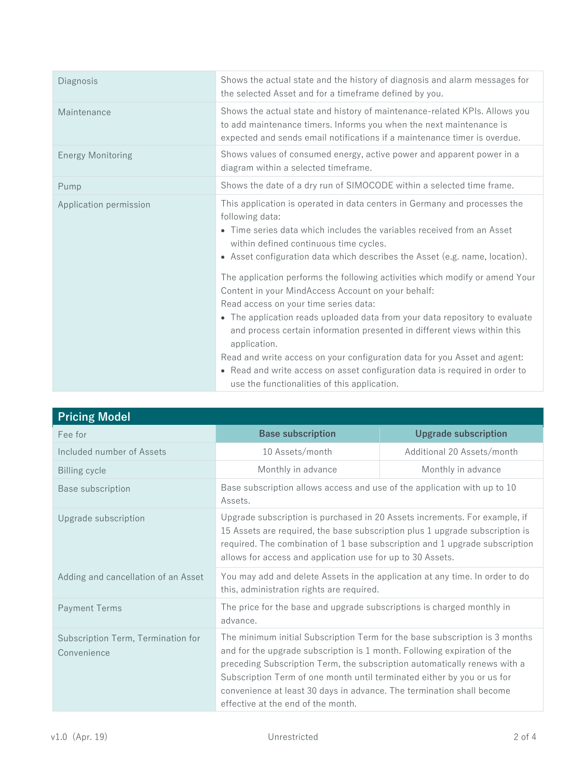| Diagnosis                | Shows the actual state and the history of diagnosis and alarm messages for<br>the selected Asset and for a timeframe defined by you.                                                                                                                                                                                                                                                                                                                                                                                                                                                                                                                                                                                                                                                                                                                                  |
|--------------------------|-----------------------------------------------------------------------------------------------------------------------------------------------------------------------------------------------------------------------------------------------------------------------------------------------------------------------------------------------------------------------------------------------------------------------------------------------------------------------------------------------------------------------------------------------------------------------------------------------------------------------------------------------------------------------------------------------------------------------------------------------------------------------------------------------------------------------------------------------------------------------|
| Maintenance              | Shows the actual state and history of maintenance-related KPIs. Allows you<br>to add maintenance timers. Informs you when the next maintenance is<br>expected and sends email notifications if a maintenance timer is overdue.                                                                                                                                                                                                                                                                                                                                                                                                                                                                                                                                                                                                                                        |
| <b>Energy Monitoring</b> | Shows values of consumed energy, active power and apparent power in a<br>diagram within a selected timeframe.                                                                                                                                                                                                                                                                                                                                                                                                                                                                                                                                                                                                                                                                                                                                                         |
| Pump                     | Shows the date of a dry run of SIMOCODE within a selected time frame.                                                                                                                                                                                                                                                                                                                                                                                                                                                                                                                                                                                                                                                                                                                                                                                                 |
| Application permission   | This application is operated in data centers in Germany and processes the<br>following data:<br>• Time series data which includes the variables received from an Asset<br>within defined continuous time cycles.<br>• Asset configuration data which describes the Asset (e.g. name, location).<br>The application performs the following activities which modify or amend Your<br>Content in your MindAccess Account on your behalf:<br>Read access on your time series data:<br>• The application reads uploaded data from your data repository to evaluate<br>and process certain information presented in different views within this<br>application.<br>Read and write access on your configuration data for you Asset and agent:<br>• Read and write access on asset configuration data is required in order to<br>use the functionalities of this application. |

| <b>Pricing Model</b>                              |                                                                                                                                                                                                                                                                                                                                                                                                                                |                             |
|---------------------------------------------------|--------------------------------------------------------------------------------------------------------------------------------------------------------------------------------------------------------------------------------------------------------------------------------------------------------------------------------------------------------------------------------------------------------------------------------|-----------------------------|
| Fee for                                           | <b>Base subscription</b>                                                                                                                                                                                                                                                                                                                                                                                                       | <b>Upgrade subscription</b> |
| Included number of Assets                         | 10 Assets/month                                                                                                                                                                                                                                                                                                                                                                                                                | Additional 20 Assets/month  |
| <b>Billing cycle</b>                              | Monthly in advance                                                                                                                                                                                                                                                                                                                                                                                                             | Monthly in advance          |
| Base subscription                                 | Base subscription allows access and use of the application with up to 10<br>Assets.                                                                                                                                                                                                                                                                                                                                            |                             |
| Upgrade subscription                              | Upgrade subscription is purchased in 20 Assets increments. For example, if<br>15 Assets are required, the base subscription plus 1 upgrade subscription is<br>required. The combination of 1 base subscription and 1 upgrade subscription<br>allows for access and application use for up to 30 Assets.                                                                                                                        |                             |
| Adding and cancellation of an Asset               | You may add and delete Assets in the application at any time. In order to do<br>this, administration rights are required.                                                                                                                                                                                                                                                                                                      |                             |
| <b>Payment Terms</b>                              | The price for the base and upgrade subscriptions is charged monthly in<br>advance.                                                                                                                                                                                                                                                                                                                                             |                             |
| Subscription Term, Termination for<br>Convenience | The minimum initial Subscription Term for the base subscription is 3 months<br>and for the upgrade subscription is 1 month. Following expiration of the<br>preceding Subscription Term, the subscription automatically renews with a<br>Subscription Term of one month until terminated either by you or us for<br>convenience at least 30 days in advance. The termination shall become<br>effective at the end of the month. |                             |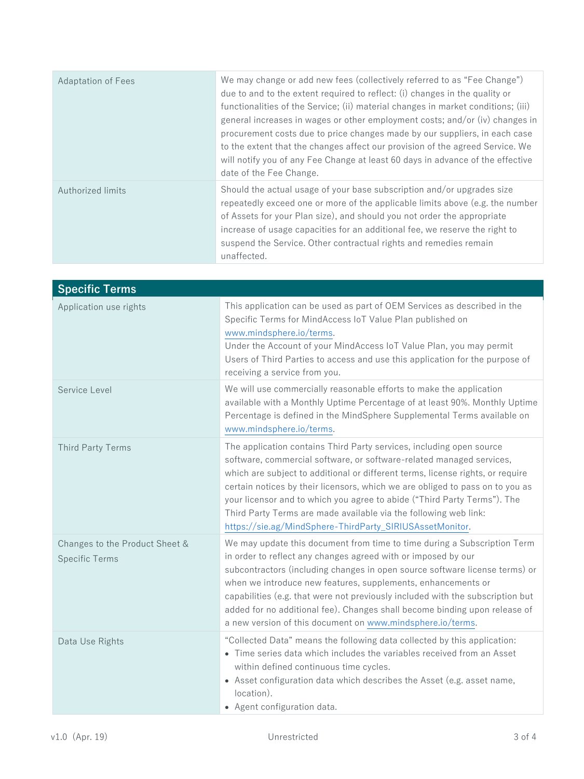| <b>Adaptation of Fees</b> | We may change or add new fees (collectively referred to as "Fee Change")<br>due to and to the extent required to reflect: (i) changes in the quality or<br>functionalities of the Service; (ii) material changes in market conditions; (iii)<br>general increases in wages or other employment costs; and/or (iv) changes in<br>procurement costs due to price changes made by our suppliers, in each case<br>to the extent that the changes affect our provision of the agreed Service. We<br>will notify you of any Fee Change at least 60 days in advance of the effective<br>date of the Fee Change. |
|---------------------------|----------------------------------------------------------------------------------------------------------------------------------------------------------------------------------------------------------------------------------------------------------------------------------------------------------------------------------------------------------------------------------------------------------------------------------------------------------------------------------------------------------------------------------------------------------------------------------------------------------|
| Authorized limits         | Should the actual usage of your base subscription and/or upgrades size<br>repeatedly exceed one or more of the applicable limits above (e.g. the number<br>of Assets for your Plan size), and should you not order the appropriate<br>increase of usage capacities for an additional fee, we reserve the right to<br>suspend the Service. Other contractual rights and remedies remain<br>unaffected.                                                                                                                                                                                                    |

| <b>Specific Terms</b>                                   |                                                                                                                                                                                                                                                                                                                                                                                                                                                                                                                             |
|---------------------------------------------------------|-----------------------------------------------------------------------------------------------------------------------------------------------------------------------------------------------------------------------------------------------------------------------------------------------------------------------------------------------------------------------------------------------------------------------------------------------------------------------------------------------------------------------------|
| Application use rights                                  | This application can be used as part of OEM Services as described in the<br>Specific Terms for MindAccess IoT Value Plan published on<br>www.mindsphere.io/terms.<br>Under the Account of your MindAccess IoT Value Plan, you may permit<br>Users of Third Parties to access and use this application for the purpose of<br>receiving a service from you.                                                                                                                                                                   |
| Service Level                                           | We will use commercially reasonable efforts to make the application<br>available with a Monthly Uptime Percentage of at least 90%. Monthly Uptime<br>Percentage is defined in the MindSphere Supplemental Terms available on<br>www.mindsphere.io/terms.                                                                                                                                                                                                                                                                    |
| <b>Third Party Terms</b>                                | The application contains Third Party services, including open source<br>software, commercial software, or software-related managed services,<br>which are subject to additional or different terms, license rights, or require<br>certain notices by their licensors, which we are obliged to pass on to you as<br>your licensor and to which you agree to abide ("Third Party Terms"). The<br>Third Party Terms are made available via the following web link:<br>https://sie.ag/MindSphere-ThirdParty_SIRIUSAssetMonitor. |
| Changes to the Product Sheet &<br><b>Specific Terms</b> | We may update this document from time to time during a Subscription Term<br>in order to reflect any changes agreed with or imposed by our<br>subcontractors (including changes in open source software license terms) or<br>when we introduce new features, supplements, enhancements or<br>capabilities (e.g. that were not previously included with the subscription but<br>added for no additional fee). Changes shall become binding upon release of<br>a new version of this document on www.mindsphere.io/terms.      |
| Data Use Rights                                         | "Collected Data" means the following data collected by this application:<br>• Time series data which includes the variables received from an Asset<br>within defined continuous time cycles.<br>• Asset configuration data which describes the Asset (e.g. asset name,<br>location).<br>• Agent configuration data.                                                                                                                                                                                                         |